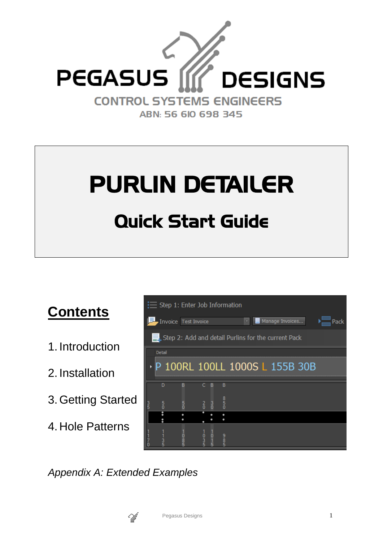

# PURLIN DETAILER Quick Start Guide



- 2. Installation
- 3.Getting Started
- 4. Hole Patterns

|                                |                      |               | $\equiv$ Step 1: Enter Job Information                     |      |
|--------------------------------|----------------------|---------------|------------------------------------------------------------|------|
|                                | Invoice Test Invoice |               | Manage Invoices<br>$\overline{\mathbf{v}}$                 | Pack |
|                                |                      |               | $\Box$ Step 2: Add and detail Purlins for the current Pack |      |
| Detail                         |                      |               |                                                            |      |
|                                |                      |               | P 100RL 100LL 1000S L 155B 30B                             |      |
| n                              | R                    | R             | B                                                          |      |
| $\frac{3}{5}$<br>$\frac{5}{0}$ | 5<br>0               | $\frac{3}{0}$ | $rac{8}{2}$                                                |      |
|                                |                      |               |                                                            |      |
| $\frac{3}{5}$                  | $\frac{8}{5}$        | o             | 9<br>5<br>5                                                |      |

*Appendix A: Extended Examples*

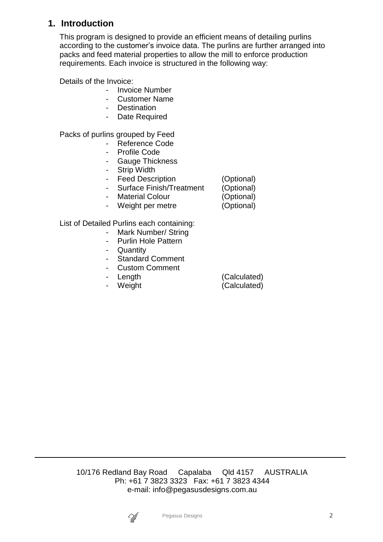## **1. Introduction**

This program is designed to provide an efficient means of detailing purlins according to the customer's invoice data. The purlins are further arranged into packs and feed material properties to allow the mill to enforce production requirements. Each invoice is structured in the following way:

Details of the Invoice:

- Invoice Number
- Customer Name
- Destination
- Date Required

Packs of purlins grouped by Feed

- Reference Code
- Profile Code
- Gauge Thickness
- Strip Width
- Feed Description (Optional)
- Surface Finish/Treatment (Optional)
- Material Colour (Optional)
- Weight per metre (Optional)

List of Detailed Purlins each containing:

- Mark Number/ String
- Purlin Hole Pattern
- Quantity
- Standard Comment
- Custom Comment
- 
- 

- Length (Calculated) - Weight (Calculated)

10/176 Redland Bay Road Capalaba Qld 4157 AUSTRALIA Ph: +61 7 3823 3323 Fax: +61 7 3823 4344 e-mail: info@pegasusdesigns.com.au

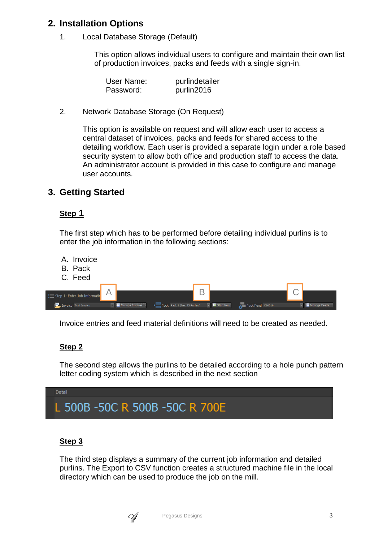## **2. Installation Options**

1. Local Database Storage (Default)

This option allows individual users to configure and maintain their own list of production invoices, packs and feeds with a single sign-in.

| User Name: | purlindetailer |
|------------|----------------|
| Password:  | purlin2016     |

2. Network Database Storage (On Request)

This option is available on request and will allow each user to access a central dataset of invoices, packs and feeds for shared access to the detailing workflow. Each user is provided a separate login under a role based security system to allow both office and production staff to access the data. An administrator account is provided in this case to configure and manage user accounts.

## **3. Getting Started**

#### **Step 1**

The first step which has to be performed before detailing individual purlins is to enter the job information in the following sections:

- A. Invoice
- B. Pack
- C. Feed

| $\equiv$ Step 1: Enter Job Information |                 |                                                                                          |  |  |              |
|----------------------------------------|-----------------|------------------------------------------------------------------------------------------|--|--|--------------|
| Invoice Test Invoice                   | Manage Invoices | Pack Pack 1 (has 25 Purlins) <b>C G</b> Start New <b>R</b> <sub>N</sub> Pack Feed C10010 |  |  | Manage Feeds |

Invoice entries and feed material definitions will need to be created as needed.

#### **Step 2**

The second step allows the purlins to be detailed according to a hole punch pattern letter coding system which is described in the next section



#### **Step 3**

The third step displays a summary of the current job information and detailed purlins. The Export to CSV function creates a structured machine file in the local directory which can be used to produce the job on the mill.

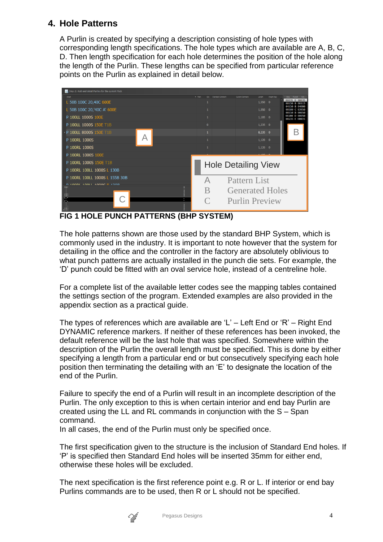## **4. Hole Patterns**

A Purlin is created by specifying a description consisting of hole types with corresponding length specifications. The hole types which are available are A, B, C, D. Then length specification for each hole determines the position of the hole along the length of the Purlin. These lengths can be specified from particular reference points on the Purlin as explained in detail below.



**FIG 1 HOLE PUNCH PATTERNS (BHP SYSTEM)**

The hole patterns shown are those used by the standard BHP System, which is commonly used in the industry. It is important to note however that the system for detailing in the office and the controller in the factory are absolutely oblivious to what punch patterns are actually installed in the punch die sets. For example, the 'D' punch could be fitted with an oval service hole, instead of a centreline hole.

For a complete list of the available letter codes see the mapping tables contained the settings section of the program. Extended examples are also provided in the appendix section as a practical guide.

The types of references which are available are 'L' – Left End or 'R' – Right End DYNAMIC reference markers. If neither of these references has been invoked, the default reference will be the last hole that was specified. Somewhere within the description of the Purlin the overall length must be specified. This is done by either specifying a length from a particular end or but consecutively specifying each hole position then terminating the detailing with an 'E' to designate the location of the end of the Purlin.

Failure to specify the end of a Purlin will result in an incomplete description of the Purlin. The only exception to this is when certain interior and end bay Purlin are created using the LL and RL commands in conjunction with the S – Span command.

In all cases, the end of the Purlin must only be specified once.

The first specification given to the structure is the inclusion of Standard End holes. If 'P' is specified then Standard End holes will be inserted 35mm for either end, otherwise these holes will be excluded.

The next specification is the first reference point e.g. R or L. If interior or end bay Purlins commands are to be used, then R or L should not be specified.

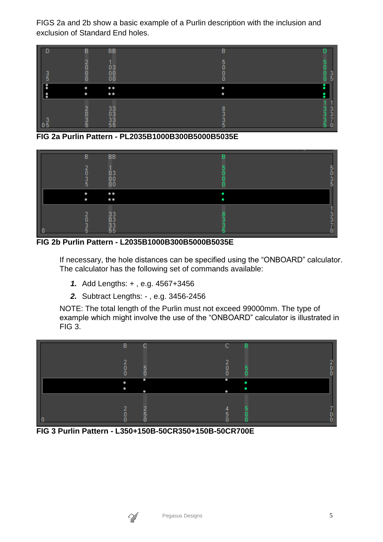FIGS 2a and 2b show a basic example of a Purlin description with the inclusion and exclusion of Standard End holes.



**FIG 2a Purlin Pattern - PL2035B1000B300B5000B5035E**

|                          | В<br>∍<br>5 | <b>BB</b><br>$\begin{matrix} 0 & 3 \\ 0 & 0 \\ 0 & 0 \end{matrix}$ | B |  |
|--------------------------|-------------|--------------------------------------------------------------------|---|--|
| $\overline{\phantom{a}}$ |             | $\bullet$<br>$\bullet$                                             |   |  |
| L<br>0                   | o<br>כ      | 33<br>33<br>55<br>55                                               |   |  |

**FIG 2b Purlin Pattern - L2035B1000B300B5000B5035E**

If necessary, the hole distances can be specified using the "ONBOARD" calculator. The calculator has the following set of commands available:

- *1.* Add Lengths: + , e.g. 4567+3456
- *2.* Subtract Lengths: , e.g. 3456-2456

NOTE: The total length of the Purlin must not exceed 99000mm. The type of example which might involve the use of the "ONBOARD" calculator is illustrated in FIG 3.



**FIG 3 Purlin Pattern - L350+150B-50CR350+150B-50CR700E**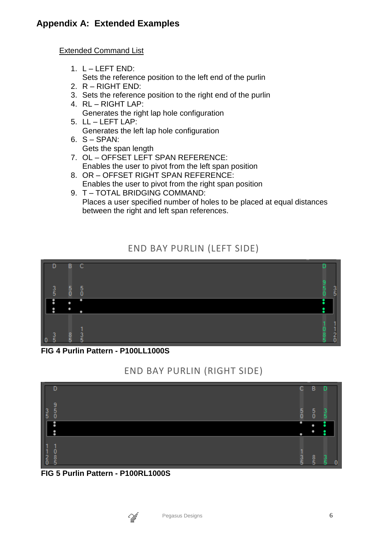Extended Command List

- 1.  $L LEFT$   $END:$
- Sets the reference position to the left end of the purlin
- 2. R RIGHT END:
- 3. Sets the reference position to the right end of the purlin
- 4. RL RIGHT LAP: Generates the right lap hole configuration
- 5. LL LEFT LAP: Generates the left lap hole configuration
- $6. S SPAN:$ Gets the span length
- 7. OL OFFSET LEFT SPAN REFERENCE: Enables the user to pivot from the left span position
- 8. OR OFFSET RIGHT SPAN REFERENCE: Enables the user to pivot from the right span position 9. T – TOTAL BRIDGING COMMAND:
- Places a user specified number of holes to be placed at equal distances between the right and left span references.

## END BAY PURLIN (LEFT SIDE)



#### **FIG 4 Purlin Pattern - P100LL1000S**

## END BAY PURLIN (RIGHT SIDE)



#### **FIG 5 Purlin Pattern - P100RL1000S**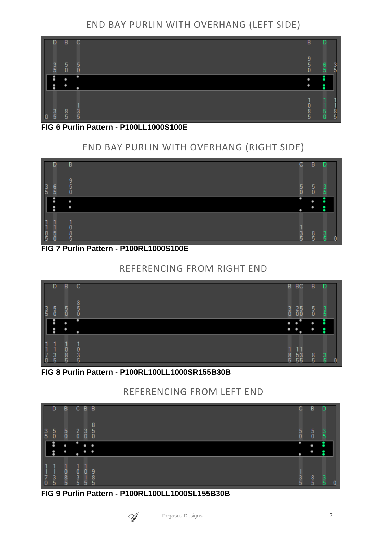# END BAY PURLIN WITH OVERHANG (LEFT SIDE)



#### **FIG 6 Purlin Pattern - P100LL1000S100E**

# END BAY PURLIN WITH OVERHANG (RIGHT SIDE)



**FIG 7 Purlin Pattern - P100RL1000S100E**

## REFERENCING FROM RIGHT END



#### **FIG 8 Purlin Pattern - P100RL100LL1000SR155B30B**

## REFERENCING FROM LEFT END

|                                                  | D             | в             | C                  | B <sub>B</sub>           |             | С             | в                                    | D             |
|--------------------------------------------------|---------------|---------------|--------------------|--------------------------|-------------|---------------|--------------------------------------|---------------|
| $\frac{3}{5}$                                    | $\frac{5}{0}$ | $\frac{5}{0}$ | $_{0}^{2}$         | $\frac{3}{0}$            | 8<br>5<br>0 | $\frac{5}{0}$ | $\begin{matrix} 5 \\ 0 \end{matrix}$ | $\frac{3}{5}$ |
|                                                  | ፡             | ۰             | ۰                  | ۰<br>۰                   |             | ۰             | ۰                                    |               |
|                                                  | ፡             | ٠             | ٠                  | ۰<br>٠                   |             | ٠             | ۰                                    |               |
| $\begin{bmatrix} 1 \\ 1 \\ 7 \\ 0 \end{bmatrix}$ | $\frac{3}{5}$ | ooo           | 0<br>$\frac{3}{5}$ | п<br>Ö<br>$\overline{1}$ | g<br>5      | $\frac{3}{5}$ | $\frac{8}{5}$                        | $\frac{3}{5}$ |

#### **FIG 9 Purlin Pattern - P100RL100LL1000SL155B30B**

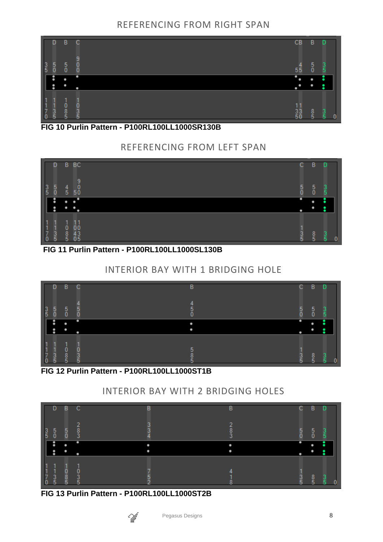## REFERENCING FROM RIGHT SPAN



#### **FIG 10 Purlin Pattern - P100RL100LL1000SR130B**

# REFERENCING FROM LEFT SPAN



## **FIG 11 Purlin Pattern - P100RL100LL1000SL130B**

## INTERIOR BAY WITH 1 BRIDGING HOLE



#### **FIG 12 Purlin Pattern - P100RL100LL1000ST1B**

# INTERIOR BAY WITH 2 BRIDGING HOLES

|                                           | D.            | B             | C                  | в | в           | C.            | B<br>D                         |
|-------------------------------------------|---------------|---------------|--------------------|---|-------------|---------------|--------------------------------|
| $\frac{3}{5}$                             | $\frac{5}{0}$ | $\frac{5}{0}$ | ാ<br>$\frac{8}{3}$ |   | o<br>8<br>3 | $\frac{5}{0}$ | $^5_{\rm 0}$<br>$\frac{3}{5}$  |
|                                           |               |               | п                  |   |             |               |                                |
|                                           | ፡             |               |                    |   |             |               |                                |
|                                           |               |               |                    |   |             |               |                                |
| $\begin{matrix} 1 \\ 7 \\ 0 \end{matrix}$ |               | $rac{0}{5}$   |                    |   |             |               |                                |
|                                           | $\frac{3}{5}$ |               | 0<br>5             |   |             | <u>ვ</u>      | $\frac{8}{5}$<br>$\frac{3}{5}$ |

#### **FIG 13 Purlin Pattern - P100RL100LL1000ST2B**